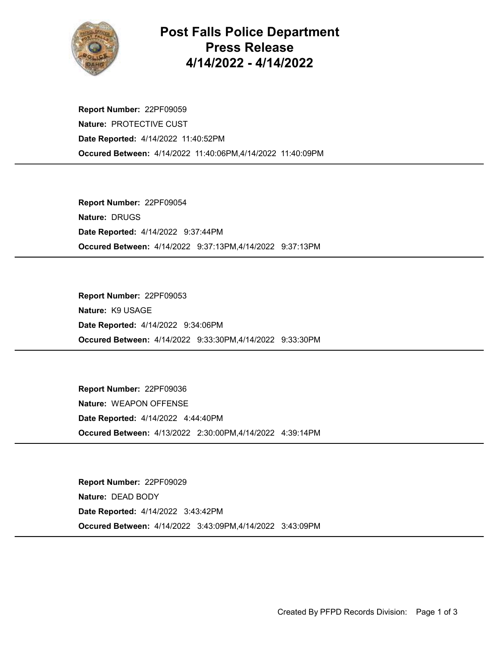

## Post Falls Police Department Press Release 4/14/2022 - 4/14/2022

Occured Between: 4/14/2022 11:40:06PM,4/14/2022 11:40:09PM Report Number: 22PF09059 Nature: PROTECTIVE CUST Date Reported: 4/14/2022 11:40:52PM

Occured Between: 4/14/2022 9:37:13PM,4/14/2022 9:37:13PM Report Number: 22PF09054 Nature: DRUGS Date Reported: 4/14/2022 9:37:44PM

Occured Between: 4/14/2022 9:33:30PM,4/14/2022 9:33:30PM Report Number: 22PF09053 Nature: K9 USAGE Date Reported: 4/14/2022 9:34:06PM

Occured Between: 4/13/2022 2:30:00PM,4/14/2022 4:39:14PM Report Number: 22PF09036 Nature: WEAPON OFFENSE Date Reported: 4/14/2022 4:44:40PM

Occured Between: 4/14/2022 3:43:09PM,4/14/2022 3:43:09PM Report Number: 22PF09029 Nature: DEAD BODY Date Reported: 4/14/2022 3:43:42PM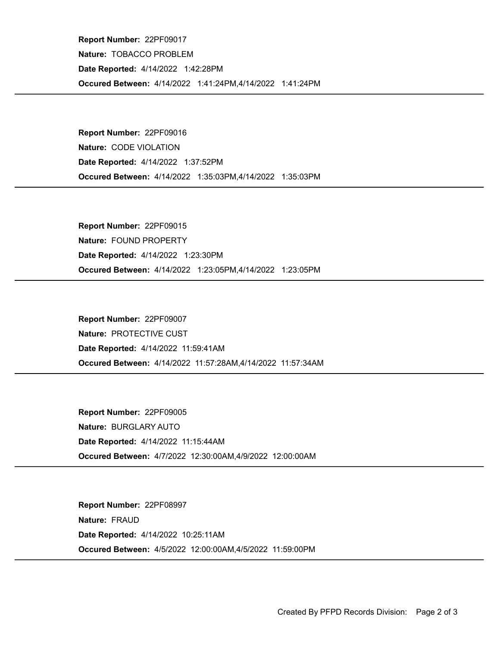Occured Between: 4/14/2022 1:41:24PM,4/14/2022 1:41:24PM Report Number: 22PF09017 Nature: TOBACCO PROBLEM Date Reported: 4/14/2022 1:42:28PM

Occured Between: 4/14/2022 1:35:03PM,4/14/2022 1:35:03PM Report Number: 22PF09016 Nature: CODE VIOLATION Date Reported: 4/14/2022 1:37:52PM

Occured Between: 4/14/2022 1:23:05PM,4/14/2022 1:23:05PM Report Number: 22PF09015 Nature: FOUND PROPERTY Date Reported: 4/14/2022 1:23:30PM

Occured Between: 4/14/2022 11:57:28AM,4/14/2022 11:57:34AM Report Number: 22PF09007 Nature: PROTECTIVE CUST Date Reported: 4/14/2022 11:59:41AM

Occured Between: 4/7/2022 12:30:00AM,4/9/2022 12:00:00AM Report Number: 22PF09005 Nature: BURGLARY AUTO Date Reported: 4/14/2022 11:15:44AM

Occured Between: 4/5/2022 12:00:00AM,4/5/2022 11:59:00PM Report Number: 22PF08997 Nature: FRAUD Date Reported: 4/14/2022 10:25:11AM